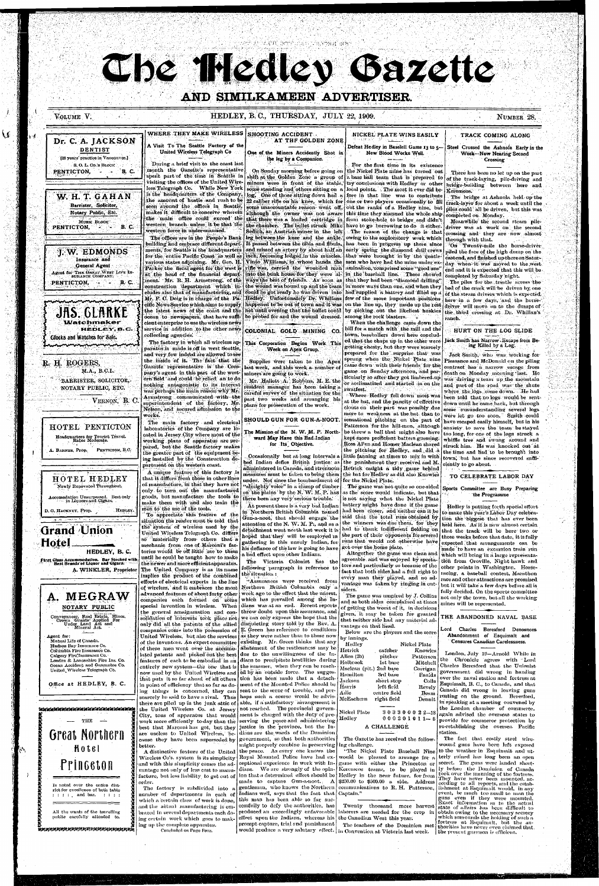28月17日的食程

# Che Hedley Gazette

## AND SIMILKAMEEN ADVERTISER.

## VOLUME V.

Dr. C. A. JACKSON

U

## HEDLEY, B.C., THURSDAY, JULY 22, 1909.

WHERE THEY MAKE WIRELESS **SHOOTING ACCIDENT** NICKEL PLATE WINS EASILY AT THE GOLDEN ZONE A Visit To The Seattle Factory of the Defeat Hedley in Baselell Game 13 to 5-One of the Miners Accidently Shot in New Blood Works Well. the leg by a Companion. For the first time in its existence On Sunday morning before going on the Nickel Plate mine has turned out shift at the Golden Zone a group of a base hall team that is prepared to

When the challenge came down the hill for a match with the mill and the town, baseballers down here concluded that the chaps up in the ether were getting chesty, but they were scarcely prepared for the surprise that was sprung when the Nickel Plate nine came down with their friends for the game on Sunday afternoon, and particularly so after they got limbered up or acclimatized and started in on the swatfest.

Where Hedley fell down most was at the bat, and the pancity of effective clouts on their part was possibly due more to weakness at the bat than to sensational pitching on the part of Patterson for the hill-men, although he threw a ball that might also have kept more proficient batters guessing. Ross Allen and Homer Maclean shared the pitching for Hedley, and did a little fanning at times to mix in with

NUMBER 28.

TRACK COMING ALONG

Steel Crossed the Ashnola Early in the **Week-Now Nearing Second** Crossing

There has been no let up on the part of the track-laying, pile-driving and bridge-building between here and Keremeos.

The bridge at Ashnola held up the track-layer for about a week until the piles could all be driven, but this was completed on Monday.

Meanwhile the second steam piledriver was at work on the second crossing and they are now almost through with that.

"On Twenty-mile the horse-driver piled the face of the high durap on the eastend, and finished up there on Saturday when it was moved to the west end and it is expected that this will be completed by Saturday night.

The piles for the trestle across the bed of the creek will be driven by one. of the steam drivers which is expected. here in a few days, and the horsedriver will move on to the dumps of the third crossing at Dr. Whillan's ranch.

## HURT ON THE LOG SLIDE

#### Jack Smith has Narrow. Escape from Being Killed by a Log.

Jack Smith, who was working for Pleasance and McDonald on the piling contract has a narrow escape from death on Monday morning last. He was driving a team up the mountain and part of the road was the shute where the logs come down. He had been told that no logs would be sent. down until he came back, but through some misunderstanding several logs were let go too soon. Smith could have escaped easily himself, but in his anxiety to save the team he stayed too long, for one of the logs struck a whiffle tree and swung around and struck him. He was knocked out at the time and had to be brought into



HOTEL HEDLEY Newly Renovated Throughout. Accomodation Unsurpassed. Bost only<br>in Liquors and Cigars. **HEDLEY** D. G. HACKNEY, Prop.

**Grand Union** Hotel HEDLEY, B.C. First Class Accommodation. Bar Stocked with<br>Pirst Best Brands of Liquor and Cigars.

A. WINKLER, Proprietor



Office at HEDLEY, B. C.

United Wireless Telegraph Co.

in minimitika kata kata kata kata kata kata ka THE  $\rightarrow$ Great Northern Hotel **Princeton** Is noted over the entire dist-

rict for excellence of both table  $: : : :$  and bar.  $\sim$  100  $\pm$  100  $\pm$ 

All the wants of the travelling public carefully attended to.

**Remerentenen Kanan (Kanan Kanan** 

that it differs from those in other lines of manufacture, in that they have not only to turn out the manufactured goods, but manufacture the tools to make them with and also train the men to the use of the tools.

To appreciate this feature of the situation the reader must be told that the system of wireless used by the United Wireless Telegraph Co. differs so materially from others that a mechanic from one of Marconi's factories would be off little use to them until he could be taught how to make the newer and more efficient apparatus. The United Company is as its name implies the product of the combined efforts of electrical experts in the line of wireless, and it embraces the most advanced features of about forty other companies each formed on some special invention in wireless. When dians was at an end. Recent reports the general amalgamation and consolidation of interests took place not we can only express the hope that the only did all the patents of the allied companies come into the possession of United Wireless, but also the services (as they were rather than to those now of the inventors. An expert committee existing. Mr. Green thinks that any of these men went over the accumulated patents and picked out the best due to the unwillingness of the Infeatures of each to be embodied in an dians to precipitate hostilities during entirely new system—the one that is now used by the United Wireless and ed by an outside force. The suggesthat puts it so far ahead of all others tion has been made that a detachin point of efficiency that so far as doing things is concerned, they can scarcely be said to have a rival. Thus there are piled up in the junk attic of able, if a satisfactory arrangement is the United Wireless Co. at Jersey City, tons of apparatus that would

work more efficiently to-day than the serving the peace and administering best that Marconi has got, but they justice in the province, but the Inare useless to United Wireless, be-dians are the wards of the Dominion cause they have been superseded by better.

A distinctive feature of the United Wireless Co's. system is its simplicity and with this simplicity comes the advantage not only of less cost to manufacture, but less liability to get out of order.

The factory is subdivided into a number of departments in each of which a certain class of work is done.

and the actual manufacturing is embraced in several departments each doing certain work which goes to making up the complete apparatus. Concluded on Page Four.

under. Not since the bombardment of for the Nickel Plate. "almighty voice" in a clump of timber on the plains by the N. W. M. P. has

there been any very serious trouble. At present there is a very bad Indian in Northern British Columbia named Gun-a-noot, that should engage the attention of the N. W. M. P., and as a detachment went north last week it is hoped that they will be employed in gathering in this untuly Indian, for his defiance of the law is going to have a bad effect upon other Indians.

The Victoria Colonist has the following paragraph in reference to the situation:

"Assurances were received from Northern British Columbia only a week ago to the effect that the unrest, which has prevailed among the Inthrow doubt upon this assurance, and disquieting story told by the Rev. A. [E. Green has reference to conditions abatement of the restlessness may be the summer, when they can be reachment of the Mounted Police should be Harris sent to the scene of trouble, and per-Adie haps such a course would be advisnot reached. The provincial govern-

Nickel Plate ment is charged with the duty of pre-Hedley

government, so that both authorities

might properly combine in preserving the peace. As every one knows the Royal Mounted Police have had exceptional experience in work with Inmade to capture Gun-a-noot. A

Indians well, says that the fact that  $|$  Captain."

this man has been able so far successfully to defy the authorities, has

effect upon the Indians, whereas his the Canadian West this year. prompt capture, trial and punishment |

would produce a very salutary effect. in Convention at Victoria last week.

The game was not quite so one-sided as the score would indicate, but that is not saying what the Nickel Plate battery might have done if the game had been closer, and neither can it be said that the total runs obtained by the winners was due them. for they had to thank indifferent fielding on runs that would not otherwise have got over the home plate.

Altogether the game was clean and agreeable and was enjoyed by specta- tich from Oroville, Night hawk and tors and particularly so because of the other points in Washington. Horsefact that both sides had a full right to racing, a baseball contest, Marathon every man they played, and no advantage was taken by ringing in out siders.

The game was umpired by J. Collins and as both sides -complained at times of getting the worst of it, in decisions given, it may be taken for granted that neither side had any material advantage on that liead.

Below are the players and the score by innings.

Hedley Nickel Plate Hetrick cafcher Knowles Allen (2b) Patterson pitcher Holbrook Ist base Mitchell Maclean (pit.) 2nd base Corrigan Hamilton 3rd base Faulds Jackson short stop left field Revely centre field Beam McEachern right field Dennit

> 303300022-13  $000201011 - 5$

Coile

A CHALLENGE

The Gazette has received the following challenge.

"The Nickel Plate Baseball Nine would be pleased to arrange for a game with either the Princeton or dians. We are strongly of the opin-|Keremeos teams, to be played in ion that a determined effort should be Hedley in the near future, for from \$250.00 to \$500.00 a side. Address gentleman, who knows the Northern communications to R. H. Patterson,

Twenty thousand more harvest produced an exceedingly unfavorable | laborers are needed for the crop in

town, but has since recovered sufficiently to go about.

TO CELEBRATE LABOR DAY

Sports Committee are Busy Preparing the Programme

Hedley is putting forth special effort to make this year's Labor Day celebration the biggest that has ever been held here. As it is now almost certain that the track will be here two or the part of their opponents forseveral three weeks before that date, it is fully expected that arrangements can be made to have an excursion train run which will bring in a large representarace and other attractions are promised but it will take a few days before all is fully decided. On the sports committee not only the town, but all the working mines will be represented.

THE ABANDONED NAVAL BASE

#### Lord Charles Beresford Denounces Abandonment of Esquimalt and Censures Canadian Carelessness.

London, July 19-Arnold While in the Chronicle agrees with Lord Charles Beresford that the Unionist government did wrong in handing over the naval station and fortress at Esquimalt, B. C., to Canada, and that Canada did wrong in leaving guns rusting on the ground. Beresford, in speaking at a meeting convened by the London chamber of commerce. again advised the overseas states to provide for commerce protection by re-establishing the oversea Pacific station.

The fact that costly steel wirewound guns have been left exposed to the weather in Esquimalt and utterly ruined has long been an open secret. The guns were landed shortly before the Dominion of Canada took over the manning of the fortress. They have never been mounted, according to all reports, and the establishment at Esquimalt would, in any event, be much too small to man the guns even if they were mounted. Exact information as to the actual state of affairs has been difficult to obtain owing to the necessary secrecy which surrounds the holding of such a fortress at Esquimalt, but the au-The teachers of the Dominion met thorities have nover oven claimed that. the present garmson is efficient.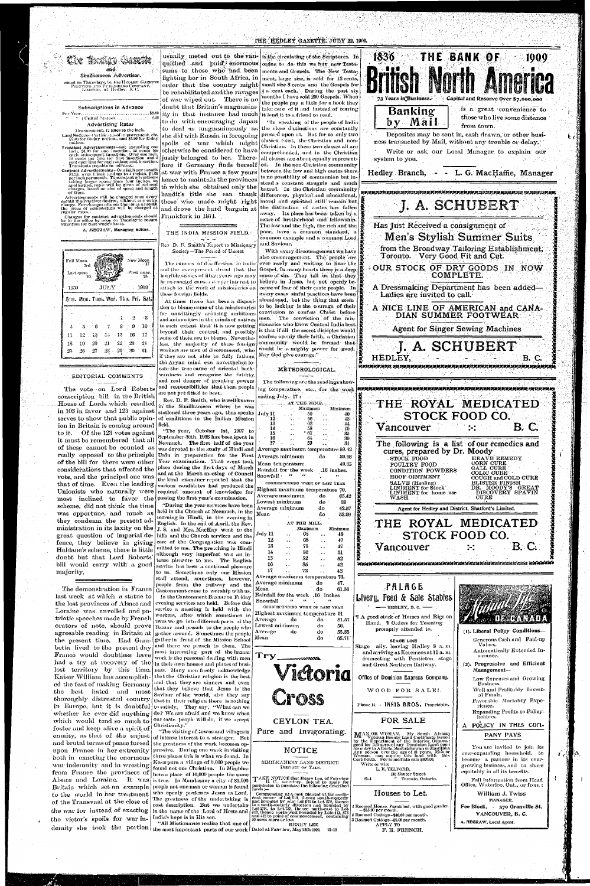## **THE HEDLEY GAZETTE JULY 22, 1909.**

Taxaloo (Saxa and Similkameen Advertiser. enct on Thursdays, by the HEDLEY GAZETTE<br>- Phisters and Punlishing Company.<br>- Limited, at Hedley, B. C.

#### Subscriptions in Advance

**Advertising Rates** Measurement, 12 lines to the inch.

Land Notices-Certificates of improvement, etc.<br>\$7.60 for 60-day notices, and \$5.00 for 30-day

-notices. Franslerk Advertisements—not oxeoeding one<br>finds. Translerk Advertisements—not oxeoeding one<br>finds and the end insertion. The end is subsequent insertion. Over one include<br>for the top distribution of the contraction.<br>Tran

Truisients payable in advance.<br>
Contract Advertisements—One inch per month<br>
[81.25: over 1 meh und up to 4 inches, \$1.00<br>
per inch per month. To constant advertisers<br>
raking larger space. than four inches, on<br>
application,

advertisements will be changed once every<br>menth if advertiser desires, without any extra charge. For changes oftener than once a month<br>the price of composition will be charged at regular rates.

Changes for contract advertisements should<br>be in the office by noon on Tuesday to secure<br>attention for that week's issue.

A. MEGRAW, Managing Editor.

New Moon Full Moon--31 d First quar Last quar. 1909 1939 JULY Sun. Mon. Tues. Wed. Thu. Fri. Sat  $\cdot 2$ -3  $\geq 9$  $S$  $-10$  $15$ 16  $17$  $12$ 73  $1.1$ 11  $22\,$  $23 -$ - 24 18 -19  $-20$ -21  $29<sup>°</sup>$  $-30 - 31$  $28^{\circ}$ -27

#### EDITORIAL COMMENTS

The vote on Lord Roberts conscription bill in the British House of Lords which resulted in 103 in favor and 123 against serves to show that public opinion in Britain is coming around field. to it. Of the 123 votes against it must be remembered that all of these cannot be counted as really opposed to the principle Urdu in preparation for the Fi of the bill for there were other Year examination. That event to considerations that affected the vote, and the principal one was that of time. Even the leading warman candidates had produced t Unionists who naturally were required amount of knowledge f most inclined to favor the scheme, did not think the time was opportune, and much as they condemn the present administration in its laxity on the great question of imperial defence, they believe in giving Haldane's scheme, there is little doubt but that Lord Roberts' bill would carry with a good majority,

sums to those who had been fighting her in South Africa, in of war wiped out. There is no doubt that Britain's magnanimity in that instance had much it lend it to a friend to read.

to do with encouraging Japan to deal as magnanimously as the close distinctions are constantly she did with Russia in foregoing pressed upon as. But for as only two spoils of war which might classes exist, the Christian and nonotherwise be considered to have justly belonged to her. Therefore if Germany finds herself at war with France a few years hence to maintain the provinces to which she obtained only the

bandit's title she can thank those who made might right and drove the hard bargain at

Frankfork in 1871.

<u> Principalation de la contexte de la contexte de la contexte de la contexte de la contexte de la contexte de l</u> THE INDIA MISSION FIELD.

Rev D. F. Smith's Report to Missionary Society-The Period of Unrest

The rumors of disaffection in India and the ever-present dread that the horrible scenes of fifty years ago may. these foreign fields.

At times there has been a disposition to blame some of the missionaries for unwittingly arousing ambitions and animosities in the minds of natives to such extent that it is now getting beyond their control, and possibly. some of them are to blame. Nevertheless, the majority of these foreign workers are men of discernment, who if they are not able to fully fathom the Aryan mind can nevertheless lo-

cate the true cause of oriental backwardness and recognize the futility and real danger of granting powers and responsibilities that these people are not yet fitted to bear. An analysis

Rev. D. F. Smith, who is well known in the Similkameen where he was stationed three years ago, thus speaks of conditions in the Indian Mission

"The year, October 1st, 1907 to September 30th, 1908 has been spent in Neemuch. The first half of the year was devoted to the study of Hindi a place during the first days of Mar and at the March meeting of Coun the kind examiner reported that t passing the first year's examination. "During the year services have be held in the Church at Neemuch, in th morning in Hindi, in the evening English. In the end of April, the Re J.S. and Mrs. MacKay went to th hills and the Church services and th care of the Congregation was con mitted to me. The preaching in Hind although very imperfect was an i tense pleasure to me. The Englis service has been a continual pleasur to us. Sometimes only our Missic staff attend, sometimes, howeve people from the railway and th Cantonment come to worship with u In the Cantonment Bazaar on Frida evening services are held. Before th service a meeting is held with th workers, after which sometimes twos we go into different parts of th gather around. Sometimes the peopl gather in front of the Mission Schoo and there we preach to them. Th most interesting part of the bazaa work is the personal dealing with me  $\,$  in their own houses and places of bus ness. Many men freely acknowledg that the Christian religion is the bes and that they are sinners and ever that they believe that Jesus is th Saviour of the world, also they say that in their religion there is nothing our caste people will do, if we accept Christianity."

usually meted out to the van- is the circulating of the Scriptures. In quished and paid enormous order to do this we buy new Testa. ments and Gospels. The New Testament, large size, is sold for 12 cents, order that the country might small size  $s$  cents and the Gospels for be remabilitated and the ravages  $\frac{1}{2}$  a cent each. During the past six months I have sold 200 Gospels. When the people pay a little for a book they take care of it and instead of tearing

"In speaking of the people of India Christian. In these two classes all are comprehended, and in the Christian all classes are about equally represented. In the non-Christian community between the low and high castes there is no possibility of communion but instead a constant struggle and much hatred. In the Christian community differences, physical and educational, moral and spiritual still remain but the distinction of castes has fallen away. Its place has been taken by a sense of brotherhood and fellowship. The low and the high, the rich and the poor, have a common standard, a common example and a common Lord. and Saviour.

With every discouragement we have also encouragement. The people are ever ready and waiting to hear the Gospel. In many hearts there is a deep. sense of sin. They tell us that they he re-enacted causes deeper interest to believe in Jesus, but not openly beattach to the work of missionaries on cause of fear of their caste people. In many cases sinful practices have been abandoned, but the thing that seem to be lacking is the courage of their conviction to confess Christ before men. The conviction of the missionaries who know Central India best is that if all the secret disciples would confess openly their faith, a Christian community would be formed that would be a mighty power for good. May God give courage."

#### METEOROLOGICAL.

The following are the readings showing temperature, etc., for the week ending July. 17:

> AT THE MINE. Minimum Maximum 50 ٠.

-40

 $\frac{43}{44}$ 

10 33 39

56 72  $\mathcal{Z}(\mathcal{Z})$ 13 62  $\sim 10$  $\frac{14}{15}$  $\frac{58}{67}$  $\ddotsc$ 16 ٠. 17 59

July 11



A NICE LINE OF AMERICAN and CANA-DIAN SUMMER FOOTWEAR

**Agent for Singer Sewing Machines** 

**B.** C.

**B. C.** 

**J. A. SCHUBERT** 

folden bloch bloch och diversionen staten in den staten av den den staten av den den den den den den den den

THE ROYAL MEDICATED

**STOCK FOOD CO.** 

 $\ddotsc$ 

HEDLEY.

Vancouver

The demonstration in France last week at which a statue to the lost provinces of Alsace and Loraine was unveiled and patriotic speeches made by French orators of note, should prove Bazaar and preach to the people wh agreeable reading in Britain at the present time. Had Gambetta lived to the present day France would doubtless have had a try at recovery of the lost territory by this time. Kaiser William has accomplished the feat of making Germany the best hated and most thoroughly distrusted country in Europe, but it is doubtful to satisfy. They say, "What can we whether he ever did anything do? We are afraid and we know what which would tend so much to foster and keep alive a spirit of enmity, as that of the unjust and brutal terms of peace forced | the greatness of the work becomes opupon France in her extremity pressive. During one week in visiting both in exacting the enormous three places this is what we found. In war indemnity and in wresting from France the provinces of hera a place of 10,000 people the same Alsace and Loraine. It was is true. In Mandasaur a city of 30,000 Britain which set an example people not one man or woman is found to the world in her treatment who openly professes Jesus as Lord. of the Transvaal at the close of the war for instead of exacting in the name of the Lord of Hosts and the victor's spoils for war indemity she took the portion the most important parts of our work Dated at Fairriew, May 28th 1009.

"The visiting of towns and villages i of intense interest to a stranger. But Kesarpura a village of 3,000 people we. found not one Christian. In Mimbha-The greatness of the undertaking is past description. But we undertake India's hope is in His son.

"All Missionaries realize that one of

|         | ${\rm ind}\, \,\mathbf{A}$ verage maximum temperature 59. |                           |             |
|---------|-----------------------------------------------------------|---------------------------|-------------|
| rst     | Average minimum                                           | do                        | 39          |
| юk      | Mean temperature                                          |                           | 49          |
| :ch     | Rainfall for the week                                     |                           | .16 inche   |
| eil     | Snowfall .<br>44                                          |                           | 44          |
| he      | CORRESPONDING WEEK OF LAST YEAR                           |                           |             |
| he      | Highest maximum temperature 79                            |                           |             |
| for.    | Average maximum                                           | do                        | 6.          |
|         | Lowest minimum                                            | do                        | 3           |
| en      | Average minimum                                           | do                        | 42          |
| he      | Mean                                                      | do                        | 53          |
| in      |                                                           |                           |             |
| w.      | AT THE MILL.<br>t,                                        |                           |             |
| he      | Maximum<br>July 11<br>68                                  |                           | Minim<br>48 |
| he      | 12<br>68<br>$\ddot{\phantom{a}}$                          |                           | 47          |
| ÷ti     | 13<br>75.                                                 |                           | 47          |
| di      | 14<br>82<br>∴.                                            | $\mathbf{r}$<br>$\ddotsc$ | 51          |
| n-      | 15<br>82                                                  |                           | 52          |
| sh      | <b>16</b><br>85.                                          | . .<br>القام              | 42          |
| re      | 17 <sub>1</sub><br>72                                     |                           | 42          |
| m       | Average maximum temperature 76.                           |                           |             |
| r,      | Average minimum                                           | do                        | 47.         |
| he      | Mean                                                      | . do                      | 61.         |
| ß.      | Rainfall for the week .16 inches                          |                           |             |
| ιy      | Snowfall                                                  |                           |             |
| is      | CORRESPONDING WEEK OF LAST YEAR                           |                           |             |
| ìС      | Highest maximum temperature 91                            |                           |             |
| in      | Average<br>do                                             | do                        | 81.         |
| ١e      | Lowest minimum                                            | do                        | 50.         |
| າບ      | Average<br>do                                             | do                        | 55.         |
| lε      | Mean                                                      | do                        | 68.         |
| οl      |                                                           |                           |             |
| ıē      |                                                           |                           |             |
| u.      | Try                                                       |                           |             |
| n       | <b>BEEBERINING.</b>                                       |                           |             |
| i-      |                                                           |                           | œ           |
| ,e      | ıctoru                                                    |                           |             |
| st,     |                                                           |                           |             |
| n       |                                                           |                           |             |
| lC      |                                                           |                           |             |
|         |                                                           |                           |             |
| y<br>ge |                                                           |                           |             |
|         |                                                           |                           |             |
| ,t      |                                                           |                           |             |
| t       | CEYLON TEA.                                               |                           |             |
| s       | Pure and Invigorating                                     |                           |             |

## **NOTICE**

SIMILKAMEEN LAND DISTRICT. DISTRICT OF YALE.

TAKE NOTICE that Henry Lee, of Fairview<br>permission to purchase the following described<br>lands :-

Takes the commencing at a post planted at the north-<br>case corner of Lot 619, thence south-westerly<br>and bounded by said Lot 619 to Lot 27S, thence<br>in a south-easterly direction and bounded by<br>Lot 27S, to Lot 73S, thence nor **40 acres more or less** 

HENRY LEE  $21 - 10$